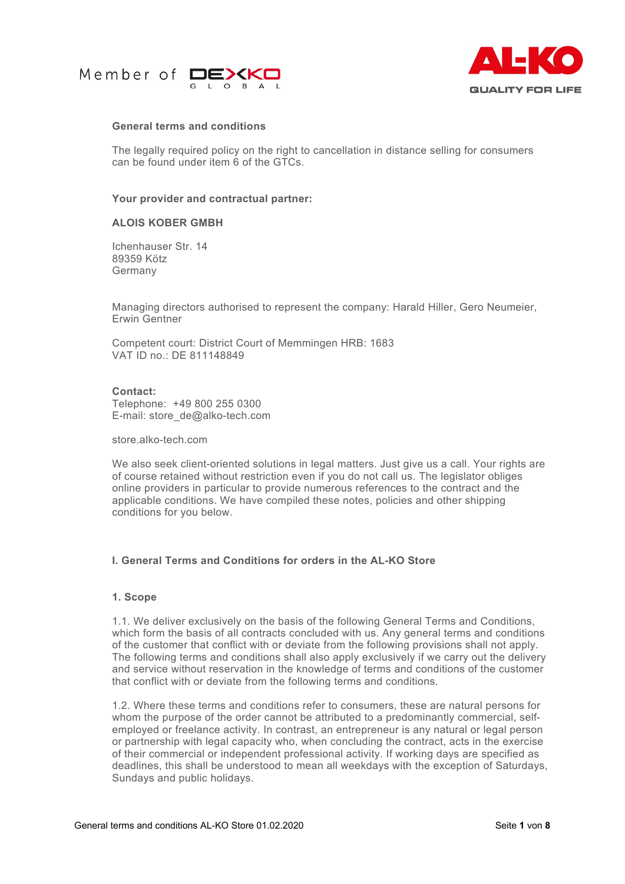



## **General terms and conditions**

The legally required policy on the right to cancellation in distance selling for consumers can be found under item 6 of the GTCs.

### **Your provider and contractual partner:**

## **ALOIS KOBER GMBH**

Ichenhauser Str. 14 89359 Kötz Germany

Managing directors authorised to represent the company: Harald Hiller, Gero Neumeier, Erwin Gentner

Competent court: District Court of Memmingen HRB: 1683 VAT ID no.: DE 811148849

## **Contact:**

Telephone: +49 800 255 0300 E-mail: store\_de@alko-tech.com

store.alko-tech.com

We also seek client-oriented solutions in legal matters. Just give us a call. Your rights are of course retained without restriction even if you do not call us. The legislator obliges online providers in particular to provide numerous references to the contract and the applicable conditions. We have compiled these notes, policies and other shipping conditions for you below.

# **I. General Terms and Conditions for orders in the AL-KO Store**

## **1. Scope**

1.1. We deliver exclusively on the basis of the following General Terms and Conditions, which form the basis of all contracts concluded with us. Any general terms and conditions of the customer that conflict with or deviate from the following provisions shall not apply. The following terms and conditions shall also apply exclusively if we carry out the delivery and service without reservation in the knowledge of terms and conditions of the customer that conflict with or deviate from the following terms and conditions.

1.2. Where these terms and conditions refer to consumers, these are natural persons for whom the purpose of the order cannot be attributed to a predominantly commercial, selfemployed or freelance activity. In contrast, an entrepreneur is any natural or legal person or partnership with legal capacity who, when concluding the contract, acts in the exercise of their commercial or independent professional activity. If working days are specified as deadlines, this shall be understood to mean all weekdays with the exception of Saturdays, Sundays and public holidays.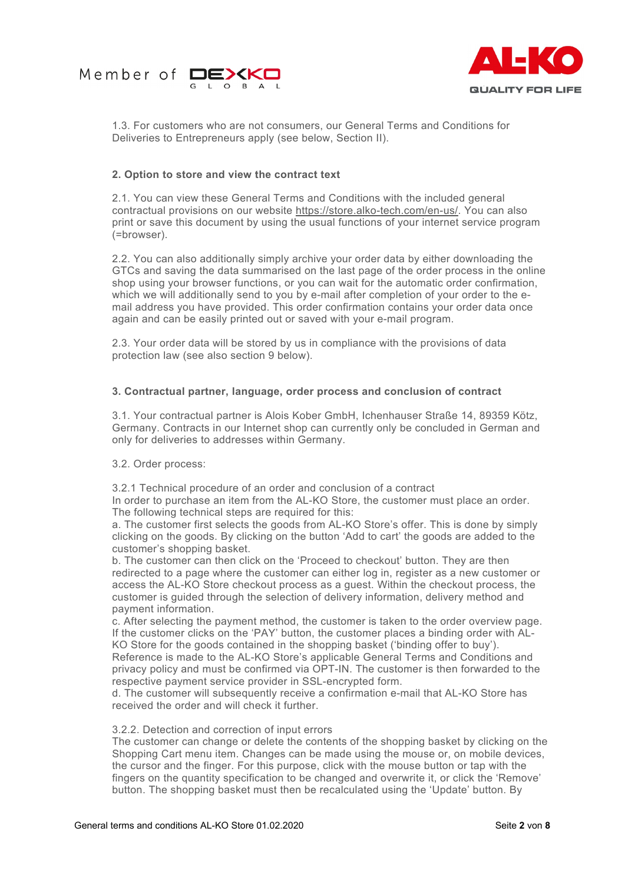



1.3. For customers who are not consumers, our General Terms and Conditions for Deliveries to Entrepreneurs apply (see below, Section II).

## **2. Option to store and view the contract text**

2.1. You can view these General Terms and Conditions with the included general contractual provisions on our website [https://store.alko-tech.com/en-us/.](http://www.store.alko-tech.com/de) You can also print or save this document by using the usual functions of your internet service program (=browser).

2.2. You can also additionally simply archive your order data by either downloading the GTCs and saving the data summarised on the last page of the order process in the online shop using your browser functions, or you can wait for the automatic order confirmation, which we will additionally send to you by e-mail after completion of your order to the email address you have provided. This order confirmation contains your order data once again and can be easily printed out or saved with your e-mail program.

2.3. Your order data will be stored by us in compliance with the provisions of data protection law (see also section 9 below).

### **3. Contractual partner, language, order process and conclusion of contract**

3.1. Your contractual partner is Alois Kober GmbH, Ichenhauser Straße 14, 89359 Kötz, Germany. Contracts in our Internet shop can currently only be concluded in German and only for deliveries to addresses within Germany.

### 3.2. Order process:

3.2.1 Technical procedure of an order and conclusion of a contract

In order to purchase an item from the AL-KO Store, the customer must place an order. The following technical steps are required for this:

a. The customer first selects the goods from AL-KO Store's offer. This is done by simply clicking on the goods. By clicking on the button 'Add to cart' the goods are added to the customer's shopping basket.

b. The customer can then click on the 'Proceed to checkout' button. They are then redirected to a page where the customer can either log in, register as a new customer or access the AL-KO Store checkout process as a guest. Within the checkout process, the customer is guided through the selection of delivery information, delivery method and payment information.

c. After selecting the payment method, the customer is taken to the order overview page. If the customer clicks on the 'PAY' button, the customer places a binding order with AL-KO Store for the goods contained in the shopping basket ('binding offer to buy'). Reference is made to the AL-KO Store's applicable General Terms and Conditions and

privacy policy and must be confirmed via OPT-IN. The customer is then forwarded to the respective payment service provider in SSL-encrypted form.

d. The customer will subsequently receive a confirmation e-mail that AL-KO Store has received the order and will check it further.

### 3.2.2. Detection and correction of input errors

The customer can change or delete the contents of the shopping basket by clicking on the Shopping Cart menu item. Changes can be made using the mouse or, on mobile devices, the cursor and the finger. For this purpose, click with the mouse button or tap with the fingers on the quantity specification to be changed and overwrite it, or click the 'Remove' button. The shopping basket must then be recalculated using the 'Update' button. By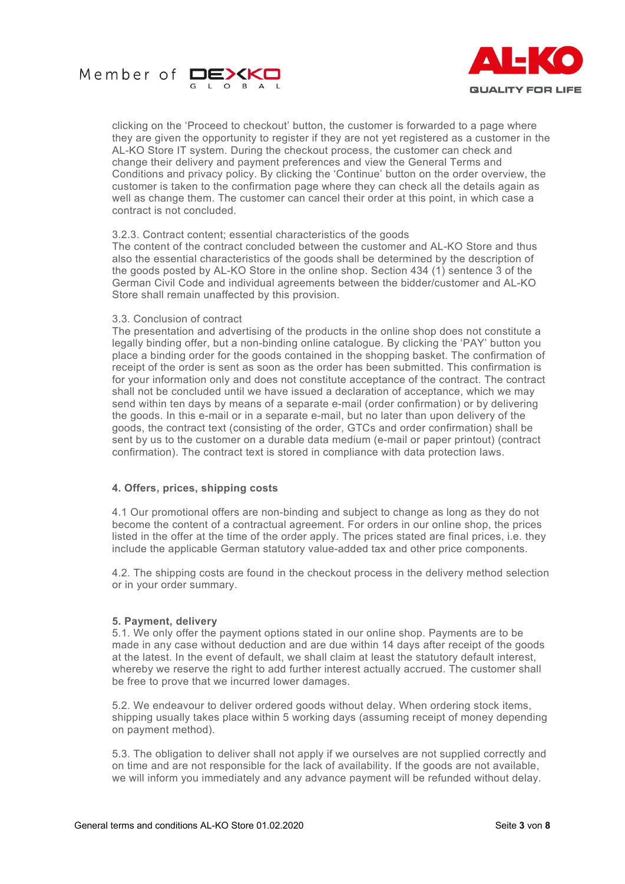



clicking on the 'Proceed to checkout' button, the customer is forwarded to a page where they are given the opportunity to register if they are not yet registered as a customer in the AL-KO Store IT system. During the checkout process, the customer can check and change their delivery and payment preferences and view the General Terms and Conditions and privacy policy. By clicking the 'Continue' button on the order overview, the customer is taken to the confirmation page where they can check all the details again as well as change them. The customer can cancel their order at this point, in which case a contract is not concluded.

### 3.2.3. Contract content; essential characteristics of the goods

The content of the contract concluded between the customer and AL-KO Store and thus also the essential characteristics of the goods shall be determined by the description of the goods posted by AL-KO Store in the online shop. Section 434 (1) sentence 3 of the German Civil Code and individual agreements between the bidder/customer and AL-KO Store shall remain unaffected by this provision.

#### 3.3. Conclusion of contract

The presentation and advertising of the products in the online shop does not constitute a legally binding offer, but a non-binding online catalogue. By clicking the 'PAY' button you place a binding order for the goods contained in the shopping basket. The confirmation of receipt of the order is sent as soon as the order has been submitted. This confirmation is for your information only and does not constitute acceptance of the contract. The contract shall not be concluded until we have issued a declaration of acceptance, which we may send within ten days by means of a separate e-mail (order confirmation) or by delivering the goods. In this e-mail or in a separate e-mail, but no later than upon delivery of the goods, the contract text (consisting of the order, GTCs and order confirmation) shall be sent by us to the customer on a durable data medium (e-mail or paper printout) (contract confirmation). The contract text is stored in compliance with data protection laws.

## **4. Offers, prices, shipping costs**

4.1 Our promotional offers are non-binding and subject to change as long as they do not become the content of a contractual agreement. For orders in our online shop, the prices listed in the offer at the time of the order apply. The prices stated are final prices, i.e. they include the applicable German statutory value-added tax and other price components.

4.2. The shipping costs are found in the checkout process in the delivery method selection or in your order summary.

### **5. Payment, delivery**

5.1. We only offer the payment options stated in our online shop. Payments are to be made in any case without deduction and are due within 14 days after receipt of the goods at the latest. In the event of default, we shall claim at least the statutory default interest, whereby we reserve the right to add further interest actually accrued. The customer shall be free to prove that we incurred lower damages.

5.2. We endeavour to deliver ordered goods without delay. When ordering stock items, shipping usually takes place within 5 working days (assuming receipt of money depending on payment method).

5.3. The obligation to deliver shall not apply if we ourselves are not supplied correctly and on time and are not responsible for the lack of availability. If the goods are not available, we will inform you immediately and any advance payment will be refunded without delay.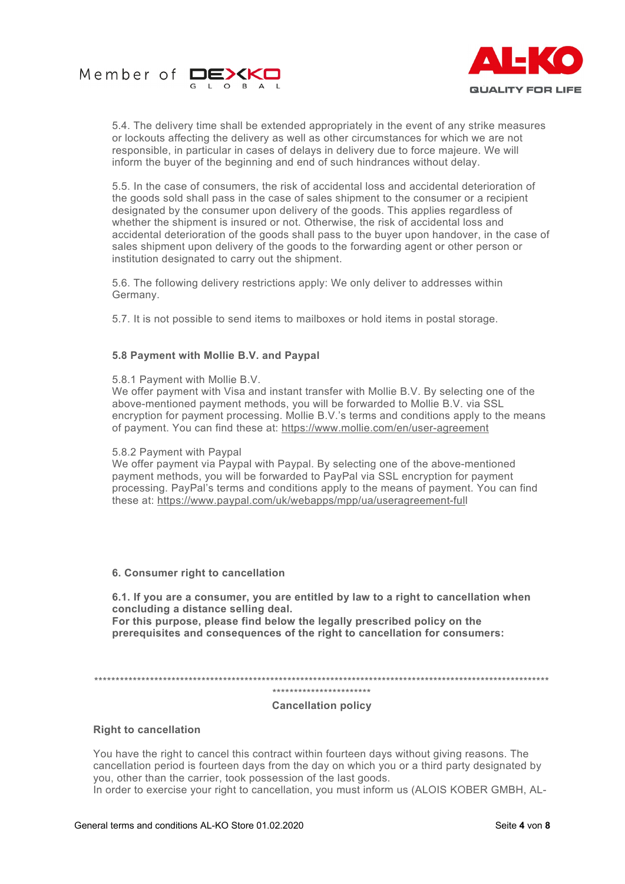



5.4. The delivery time shall be extended appropriately in the event of any strike measures or lockouts affecting the delivery as well as other circumstances for which we are not responsible, in particular in cases of delays in delivery due to force majeure. We will inform the buyer of the beginning and end of such hindrances without delay.

5.5. In the case of consumers, the risk of accidental loss and accidental deterioration of the goods sold shall pass in the case of sales shipment to the consumer or a recipient designated by the consumer upon delivery of the goods. This applies regardless of whether the shipment is insured or not. Otherwise, the risk of accidental loss and accidental deterioration of the goods shall pass to the buyer upon handover, in the case of sales shipment upon delivery of the goods to the forwarding agent or other person or institution designated to carry out the shipment.

5.6. The following delivery restrictions apply: We only deliver to addresses within Germany.

5.7. It is not possible to send items to mailboxes or hold items in postal storage.

## **5.8 Payment with Mollie B.V. and Paypal**

### 5.8.1 Payment with Mollie B.V.

We offer payment with Visa and instant transfer with Mollie B.V. By selecting one of the above-mentioned payment methods, you will be forwarded to Mollie B.V. via SSL encryption for payment processing. Mollie B.V.'s terms and conditions apply to the means of payment. You can find these at: [https://www.mollie.com/en/user-agreement](https://www.mollie.com/de/user-agreement)

### 5.8.2 Payment with Paypal

We offer payment via Paypal with Paypal. By selecting one of the above-mentioned payment methods, you will be forwarded to PayPal via SSL encryption for payment processing. PayPal's terms and conditions apply to the means of payment. You can find these at: [https://www.paypal.com/uk/webapps/mpp/ua/useragreement-full](https://www.paypal.com/de/webapps/mpp/ua/legalhub-full?locale.x=de_DE)

## **6. Consumer right to cancellation**

**6.1. If you are a consumer, you are entitled by law to a right to cancellation when concluding a distance selling deal. For this purpose, please find below the legally prescribed policy on the** 

**prerequisites and consequences of the right to cancellation for consumers:**

\*\*\*\*\*\*\*\*\*\*\*\*\*\*\*\*\*\*\*\*\*\*\*\*\*\*\*\*\*\*\*\*\*\*\*\*\*\*\*\*\*\*\*\*\*\*\*\*\*\*\*\*\*\*\*\*\*\*\*\*\*\*\*\*\*\*\*\*\*\*\*\*\*\*\*\*\*\*\*\*\*\*\*\*\*\*\*\*\*\*\*\*\*\*\*\*\*\*\*\*\*\*\*\*\*\*

#### \*\*\*\*\*\*\*\*\*\*\*\*\*\*\*\*\*\*\*\*\*\*\*

### **Cancellation policy**

## **Right to cancellation**

You have the right to cancel this contract within fourteen days without giving reasons. The cancellation period is fourteen days from the day on which you or a third party designated by you, other than the carrier, took possession of the last goods.

In order to exercise your right to cancellation, you must inform us (ALOIS KOBER GMBH, AL-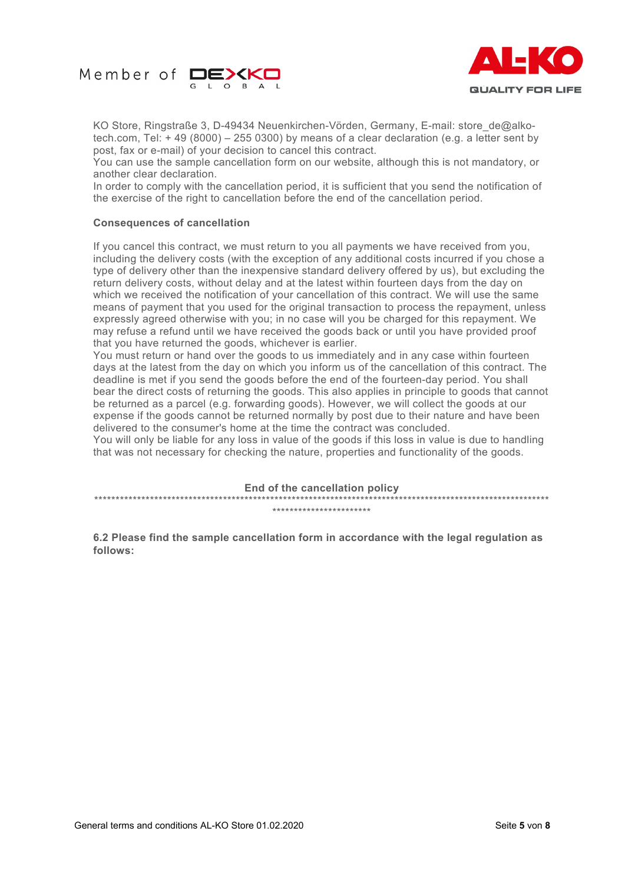



KO Store, Ringstraße 3, D-49434 Neuenkirchen-Vörden, Germany, E-mail: store\_de@alkotech.com, Tel: + 49 (8000) – 255 0300) by means of a clear declaration (e.g. a letter sent by post, fax or e-mail) of your decision to cancel this contract.

You can use the sample cancellation form on our website, although this is not mandatory, or another clear declaration.

In order to comply with the cancellation period, it is sufficient that you send the notification of the exercise of the right to cancellation before the end of the cancellation period.

### **Consequences of cancellation**

If you cancel this contract, we must return to you all payments we have received from you, including the delivery costs (with the exception of any additional costs incurred if you chose a type of delivery other than the inexpensive standard delivery offered by us), but excluding the return delivery costs, without delay and at the latest within fourteen days from the day on which we received the notification of your cancellation of this contract. We will use the same means of payment that you used for the original transaction to process the repayment, unless expressly agreed otherwise with you; in no case will you be charged for this repayment. We may refuse a refund until we have received the goods back or until you have provided proof that you have returned the goods, whichever is earlier.

You must return or hand over the goods to us immediately and in any case within fourteen days at the latest from the day on which you inform us of the cancellation of this contract. The deadline is met if you send the goods before the end of the fourteen-day period. You shall bear the direct costs of returning the goods. This also applies in principle to goods that cannot be returned as a parcel (e.g. forwarding goods). However, we will collect the goods at our expense if the goods cannot be returned normally by post due to their nature and have been delivered to the consumer's home at the time the contract was concluded.

You will only be liable for any loss in value of the goods if this loss in value is due to handling that was not necessary for checking the nature, properties and functionality of the goods.

**End of the cancellation policy** \*\*\*\*\*\*\*\*\*\*\*\*\*\*\*\*\*\*\*\*\*\*\*\*\*\*\*\*\*\*\*\*\*\*\*\*\*\*\*\*\*\*\*\*\*\*\*\*\*\*\*\*\*\*\*\*\*\*\*\*\*\*\*\*\*\*\*\*\*\*\*\*\*\*\*\*\*\*\*\*\*\*\*\*\*\*\*\*\*\*\*\*\*\*\*\*\*\*\*\*\*\*\*\*\*\* \*\*\*\*\*\*\*\*\*\*\*\*\*\*\*\*\*\*\*\*\*\*\*

**6.2 Please find the sample cancellation form in accordance with the legal regulation as follows:**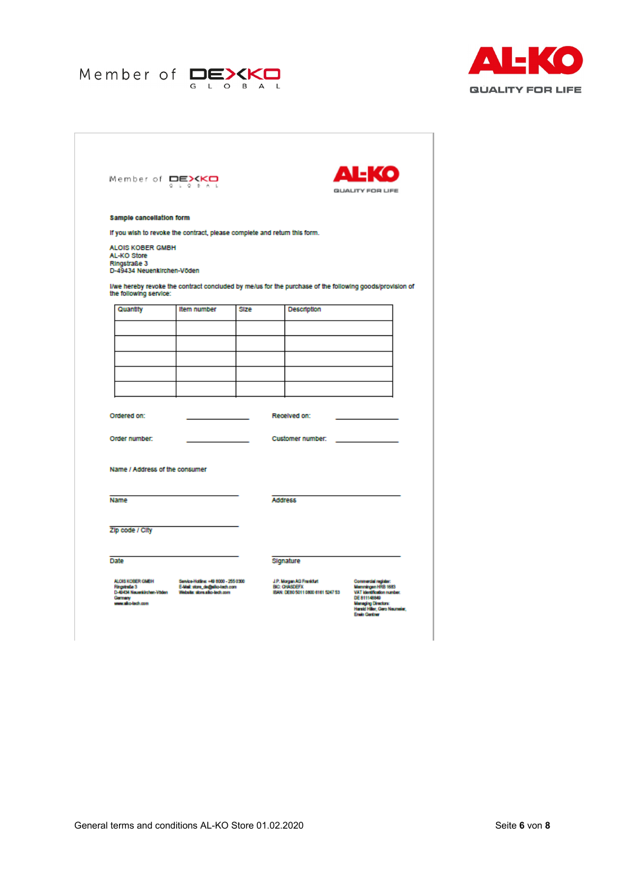



| Member of DEXKO<br>G.                      | $L = Q - B - A - L$                                                       |      |                                                                                                         | <b>GUALITY FOR LIFE</b> |
|--------------------------------------------|---------------------------------------------------------------------------|------|---------------------------------------------------------------------------------------------------------|-------------------------|
| <b>Sample cancellation form</b>            |                                                                           |      |                                                                                                         |                         |
|                                            | If you wish to revoke the contract, please complete and return this form. |      |                                                                                                         |                         |
| <b>ALOIS KOBER GMBH</b><br>AL-KO Store     |                                                                           |      |                                                                                                         |                         |
| Ringstraße 3<br>D-49434 Neuenkirchen-Vöden |                                                                           |      |                                                                                                         |                         |
|                                            |                                                                           |      | I/we hereby revoke the contract concluded by me/us for the purchase of the following goods/provision of |                         |
| the following service:                     |                                                                           | Size |                                                                                                         |                         |
| Quantity                                   | Item number                                                               |      | Description                                                                                             |                         |
|                                            |                                                                           |      |                                                                                                         |                         |
|                                            |                                                                           |      |                                                                                                         |                         |
|                                            |                                                                           |      |                                                                                                         |                         |
|                                            |                                                                           |      |                                                                                                         |                         |
|                                            |                                                                           |      |                                                                                                         |                         |
| Ordered on:                                |                                                                           |      | Received on:                                                                                            |                         |
| Order number:                              |                                                                           |      | <b>Customer number:</b>                                                                                 |                         |
|                                            |                                                                           |      |                                                                                                         |                         |
| Name / Address of the consumer             |                                                                           |      |                                                                                                         |                         |
|                                            |                                                                           |      |                                                                                                         |                         |
| Name                                       |                                                                           |      | <b>Address</b>                                                                                          |                         |
|                                            |                                                                           |      |                                                                                                         |                         |
|                                            |                                                                           |      |                                                                                                         |                         |
| Zip code / City                            |                                                                           |      |                                                                                                         |                         |
|                                            |                                                                           |      |                                                                                                         |                         |
| Date                                       |                                                                           |      | Signature                                                                                               |                         |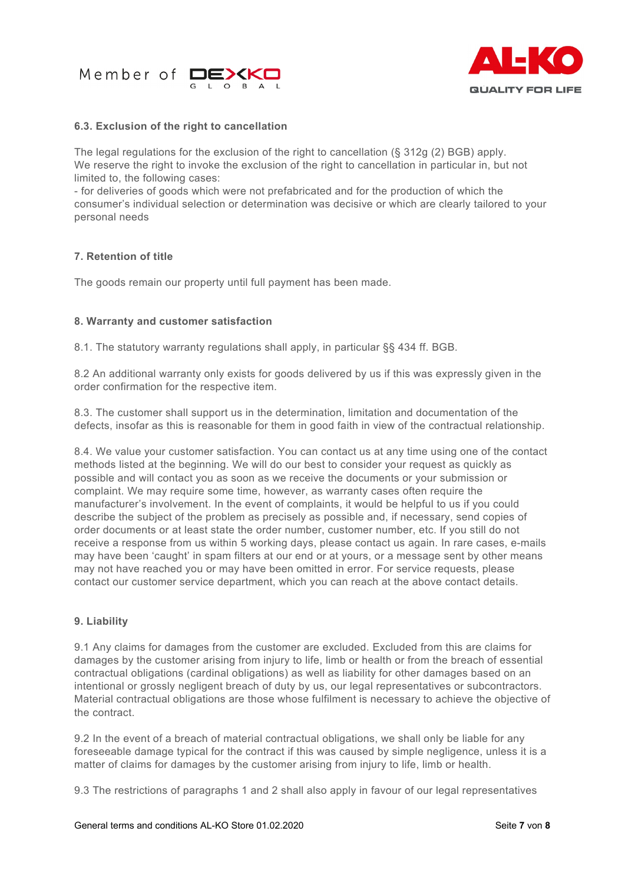



## **6.3. Exclusion of the right to cancellation**

The legal regulations for the exclusion of the right to cancellation  $(\S 312q (2) BGB)$  apply. We reserve the right to invoke the exclusion of the right to cancellation in particular in, but not limited to, the following cases:

- for deliveries of goods which were not prefabricated and for the production of which the consumer's individual selection or determination was decisive or which are clearly tailored to your personal needs

## **7. Retention of title**

The goods remain our property until full payment has been made.

## **8. Warranty and customer satisfaction**

8.1. The statutory warranty regulations shall apply, in particular §§ 434 ff. BGB.

8.2 An additional warranty only exists for goods delivered by us if this was expressly given in the order confirmation for the respective item.

8.3. The customer shall support us in the determination, limitation and documentation of the defects, insofar as this is reasonable for them in good faith in view of the contractual relationship.

8.4. We value your customer satisfaction. You can contact us at any time using one of the contact methods listed at the beginning. We will do our best to consider your request as quickly as possible and will contact you as soon as we receive the documents or your submission or complaint. We may require some time, however, as warranty cases often require the manufacturer's involvement. In the event of complaints, it would be helpful to us if you could describe the subject of the problem as precisely as possible and, if necessary, send copies of order documents or at least state the order number, customer number, etc. If you still do not receive a response from us within 5 working days, please contact us again. In rare cases, e-mails may have been 'caught' in spam filters at our end or at yours, or a message sent by other means may not have reached you or may have been omitted in error. For service requests, please contact our customer service department, which you can reach at the above contact details.

### **9. Liability**

9.1 Any claims for damages from the customer are excluded. Excluded from this are claims for damages by the customer arising from injury to life, limb or health or from the breach of essential contractual obligations (cardinal obligations) as well as liability for other damages based on an intentional or grossly negligent breach of duty by us, our legal representatives or subcontractors. Material contractual obligations are those whose fulfilment is necessary to achieve the objective of the contract.

9.2 In the event of a breach of material contractual obligations, we shall only be liable for any foreseeable damage typical for the contract if this was caused by simple negligence, unless it is a matter of claims for damages by the customer arising from injury to life, limb or health.

9.3 The restrictions of paragraphs 1 and 2 shall also apply in favour of our legal representatives